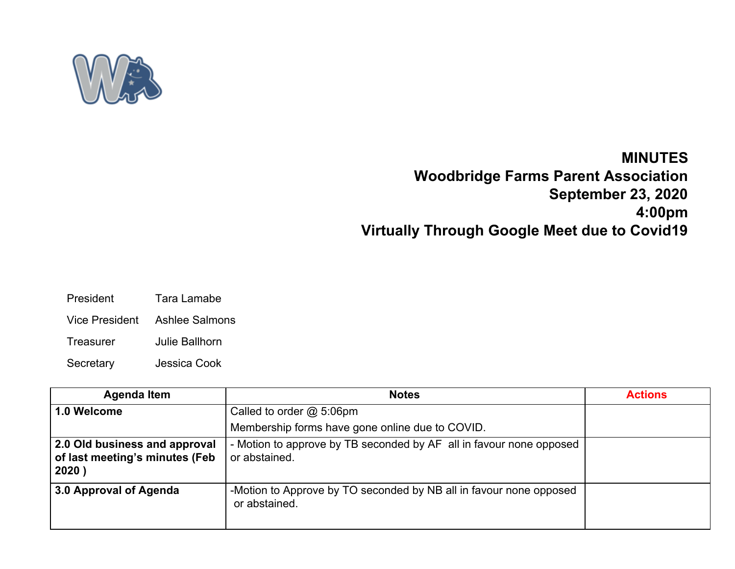

## **MINUTES Woodbridge Farms Parent Association September 23, 2020 4:00pm Virtually Through Google Meet due to Covid19**

- President Tara Lamabe
- Vice President Ashlee Salmons
- Treasurer Julie Ballhorn
- Secretary Jessica Cook

| <b>Agenda Item</b>                                                       | <b>Notes</b>                                                                         | <b>Actions</b> |
|--------------------------------------------------------------------------|--------------------------------------------------------------------------------------|----------------|
| 1.0 Welcome                                                              | Called to order $@$ 5:06pm                                                           |                |
|                                                                          | Membership forms have gone online due to COVID.                                      |                |
| 2.0 Old business and approval<br>of last meeting's minutes (Feb<br>2020) | - Motion to approve by TB seconded by AF all in favour none opposed<br>or abstained. |                |
| 3.0 Approval of Agenda                                                   | -Motion to Approve by TO seconded by NB all in favour none opposed<br>or abstained.  |                |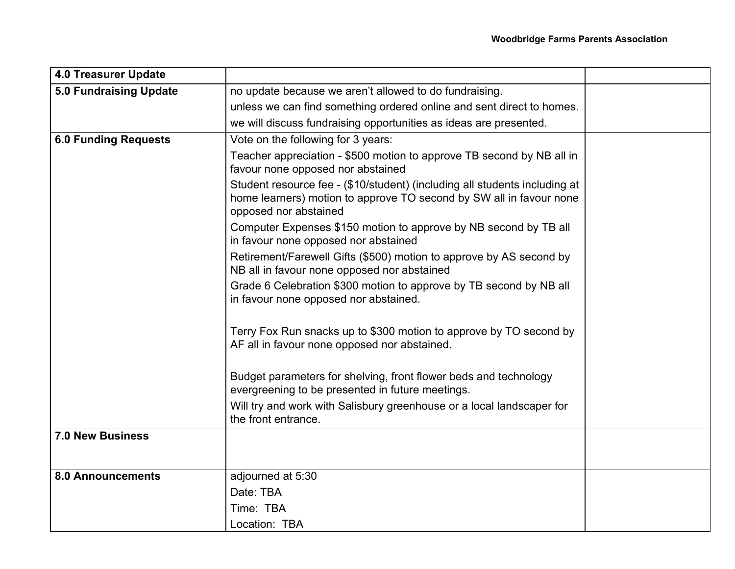| <b>4.0 Treasurer Update</b> |                                                                                                                                                                            |  |
|-----------------------------|----------------------------------------------------------------------------------------------------------------------------------------------------------------------------|--|
| 5.0 Fundraising Update      | no update because we aren't allowed to do fundraising.                                                                                                                     |  |
|                             | unless we can find something ordered online and sent direct to homes.                                                                                                      |  |
|                             | we will discuss fundraising opportunities as ideas are presented.                                                                                                          |  |
| <b>6.0 Funding Requests</b> | Vote on the following for 3 years:                                                                                                                                         |  |
|                             | Teacher appreciation - \$500 motion to approve TB second by NB all in<br>favour none opposed nor abstained                                                                 |  |
|                             | Student resource fee - (\$10/student) (including all students including at<br>home learners) motion to approve TO second by SW all in favour none<br>opposed nor abstained |  |
|                             | Computer Expenses \$150 motion to approve by NB second by TB all<br>in favour none opposed nor abstained                                                                   |  |
|                             | Retirement/Farewell Gifts (\$500) motion to approve by AS second by<br>NB all in favour none opposed nor abstained                                                         |  |
|                             | Grade 6 Celebration \$300 motion to approve by TB second by NB all<br>in favour none opposed nor abstained.                                                                |  |
|                             | Terry Fox Run snacks up to \$300 motion to approve by TO second by<br>AF all in favour none opposed nor abstained.                                                         |  |
|                             | Budget parameters for shelving, front flower beds and technology<br>evergreening to be presented in future meetings.                                                       |  |
|                             | Will try and work with Salisbury greenhouse or a local landscaper for<br>the front entrance.                                                                               |  |
| <b>7.0 New Business</b>     |                                                                                                                                                                            |  |
| <b>8.0 Announcements</b>    | adjourned at 5:30                                                                                                                                                          |  |
|                             | Date: TBA                                                                                                                                                                  |  |
|                             | Time: TBA                                                                                                                                                                  |  |
|                             | Location: TBA                                                                                                                                                              |  |